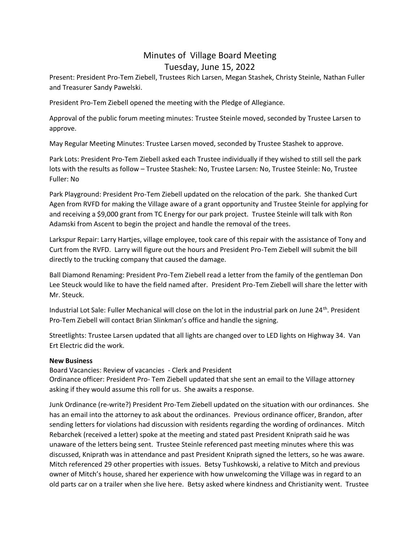## Minutes of Village Board Meeting Tuesday, June 15, 2022

Present: President Pro-Tem Ziebell, Trustees Rich Larsen, Megan Stashek, Christy Steinle, Nathan Fuller and Treasurer Sandy Pawelski.

President Pro-Tem Ziebell opened the meeting with the Pledge of Allegiance.

Approval of the public forum meeting minutes: Trustee Steinle moved, seconded by Trustee Larsen to approve.

May Regular Meeting Minutes: Trustee Larsen moved, seconded by Trustee Stashek to approve.

Park Lots: President Pro-Tem Ziebell asked each Trustee individually if they wished to still sell the park lots with the results as follow – Trustee Stashek: No, Trustee Larsen: No, Trustee Steinle: No, Trustee Fuller: No

Park Playground: President Pro-Tem Ziebell updated on the relocation of the park. She thanked Curt Agen from RVFD for making the Village aware of a grant opportunity and Trustee Steinle for applying for and receiving a \$9,000 grant from TC Energy for our park project. Trustee Steinle will talk with Ron Adamski from Ascent to begin the project and handle the removal of the trees.

Larkspur Repair: Larry Hartjes, village employee, took care of this repair with the assistance of Tony and Curt from the RVFD. Larry will figure out the hours and President Pro-Tem Ziebell will submit the bill directly to the trucking company that caused the damage.

Ball Diamond Renaming: President Pro-Tem Ziebell read a letter from the family of the gentleman Don Lee Steuck would like to have the field named after. President Pro-Tem Ziebell will share the letter with Mr. Steuck.

Industrial Lot Sale: Fuller Mechanical will close on the lot in the industrial park on June 24th. President Pro-Tem Ziebell will contact Brian Slinkman's office and handle the signing.

Streetlights: Trustee Larsen updated that all lights are changed over to LED lights on Highway 34. Van Ert Electric did the work.

## **New Business**

Board Vacancies: Review of vacancies - Clerk and President Ordinance officer: President Pro- Tem Ziebell updated that she sent an email to the Village attorney asking if they would assume this roll for us. She awaits a response.

Junk Ordinance (re-write?) President Pro-Tem Ziebell updated on the situation with our ordinances. She has an email into the attorney to ask about the ordinances. Previous ordinance officer, Brandon, after sending letters for violations had discussion with residents regarding the wording of ordinances. Mitch Rebarchek (received a letter) spoke at the meeting and stated past President Kniprath said he was unaware of the letters being sent. Trustee Steinle referenced past meeting minutes where this was discussed, Kniprath was in attendance and past President Kniprath signed the letters, so he was aware. Mitch referenced 29 other properties with issues. Betsy Tushkowski, a relative to Mitch and previous owner of Mitch's house, shared her experience with how unwelcoming the Village was in regard to an old parts car on a trailer when she live here. Betsy asked where kindness and Christianity went. Trustee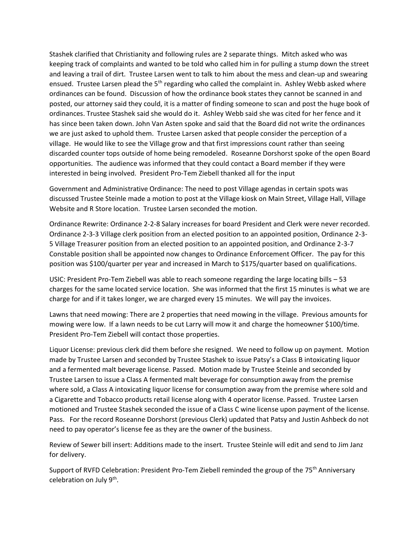Stashek clarified that Christianity and following rules are 2 separate things. Mitch asked who was keeping track of complaints and wanted to be told who called him in for pulling a stump down the street and leaving a trail of dirt. Trustee Larsen went to talk to him about the mess and clean-up and swearing ensued. Trustee Larsen plead the  $5<sup>th</sup>$  regarding who called the complaint in. Ashley Webb asked where ordinances can be found. Discussion of how the ordinance book states they cannot be scanned in and posted, our attorney said they could, it is a matter of finding someone to scan and post the huge book of ordinances. Trustee Stashek said she would do it. Ashley Webb said she was cited for her fence and it has since been taken down. John Van Asten spoke and said that the Board did not write the ordinances we are just asked to uphold them. Trustee Larsen asked that people consider the perception of a village. He would like to see the Village grow and that first impressions count rather than seeing discarded counter tops outside of home being remodeled. Roseanne Dorshorst spoke of the open Board opportunities. The audience was informed that they could contact a Board member if they were interested in being involved. President Pro-Tem Ziebell thanked all for the input

Government and Administrative Ordinance: The need to post Village agendas in certain spots was discussed Trustee Steinle made a motion to post at the Village kiosk on Main Street, Village Hall, Village Website and R Store location. Trustee Larsen seconded the motion.

Ordinance Rewrite: Ordinance 2-2-8 Salary increases for board President and Clerk were never recorded. Ordinance 2-3-3 Village clerk position from an elected position to an appointed position, Ordinance 2-3- 5 Village Treasurer position from an elected position to an appointed position, and Ordinance 2-3-7 Constable position shall be appointed now changes to Ordinance Enforcement Officer. The pay for this position was \$100/quarter per year and increased in March to \$175/quarter based on qualifications.

USIC: President Pro-Tem Ziebell was able to reach someone regarding the large locating bills – 53 charges for the same located service location. She was informed that the first 15 minutes is what we are charge for and if it takes longer, we are charged every 15 minutes. We will pay the invoices.

Lawns that need mowing: There are 2 properties that need mowing in the village. Previous amounts for mowing were low. If a lawn needs to be cut Larry will mow it and charge the homeowner \$100/time. President Pro-Tem Ziebell will contact those properties.

Liquor License: previous clerk did them before she resigned. We need to follow up on payment. Motion made by Trustee Larsen and seconded by Trustee Stashek to issue Patsy's a Class B intoxicating liquor and a fermented malt beverage license. Passed. Motion made by Trustee Steinle and seconded by Trustee Larsen to issue a Class A fermented malt beverage for consumption away from the premise where sold, a Class A intoxicating liquor license for consumption away from the premise where sold and a Cigarette and Tobacco products retail license along with 4 operator license. Passed. Trustee Larsen motioned and Trustee Stashek seconded the issue of a Class C wine license upon payment of the license. Pass. For the record Roseanne Dorshorst (previous Clerk) updated that Patsy and Justin Ashbeck do not need to pay operator's license fee as they are the owner of the business.

Review of Sewer bill insert: Additions made to the insert. Trustee Steinle will edit and send to Jim Janz for delivery.

Support of RVFD Celebration: President Pro-Tem Ziebell reminded the group of the 75<sup>th</sup> Anniversary celebration on July 9<sup>th</sup>.